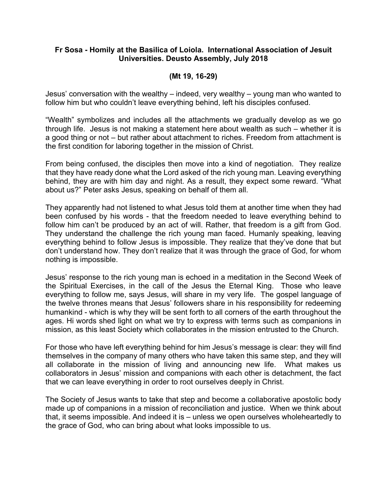## **Fr Sosa - Homily at the Basilica of Loiola. International Association of Jesuit Universities. Deusto Assembly, July 2018**

## **(Mt 19, 16-29)**

Jesus' conversation with the wealthy – indeed, very wealthy – young man who wanted to follow him but who couldn't leave everything behind, left his disciples confused.

"Wealth" symbolizes and includes all the attachments we gradually develop as we go through life. Jesus is not making a statement here about wealth as such – whether it is a good thing or not – but rather about attachment to riches. Freedom from attachment is the first condition for laboring together in the mission of Christ.

From being confused, the disciples then move into a kind of negotiation. They realize that they have ready done what the Lord asked of the rich young man. Leaving everything behind, they are with him day and night. As a result, they expect some reward. "What about us?" Peter asks Jesus, speaking on behalf of them all.

They apparently had not listened to what Jesus told them at another time when they had been confused by his words - that the freedom needed to leave everything behind to follow him can't be produced by an act of will. Rather, that freedom is a gift from God. They understand the challenge the rich young man faced. Humanly speaking, leaving everything behind to follow Jesus is impossible. They realize that they've done that but don't understand how. They don't realize that it was through the grace of God, for whom nothing is impossible.

Jesus' response to the rich young man is echoed in a meditation in the Second Week of the Spiritual Exercises, in the call of the Jesus the Eternal King. Those who leave everything to follow me, says Jesus, will share in my very life. The gospel language of the twelve thrones means that Jesus' followers share in his responsibility for redeeming humankind - which is why they will be sent forth to all corners of the earth throughout the ages. Hi words shed light on what we try to express with terms such as companions in mission, as this least Society which collaborates in the mission entrusted to the Church.

For those who have left everything behind for him Jesus's message is clear: they will find themselves in the company of many others who have taken this same step, and they will all collaborate in the mission of living and announcing new life. What makes us collaborators in Jesus' mission and companions with each other is detachment, the fact that we can leave everything in order to root ourselves deeply in Christ.

The Society of Jesus wants to take that step and become a collaborative apostolic body made up of companions in a mission of reconciliation and justice. When we think about that, it seems impossible. And indeed it is – unless we open ourselves wholeheartedly to the grace of God, who can bring about what looks impossible to us.